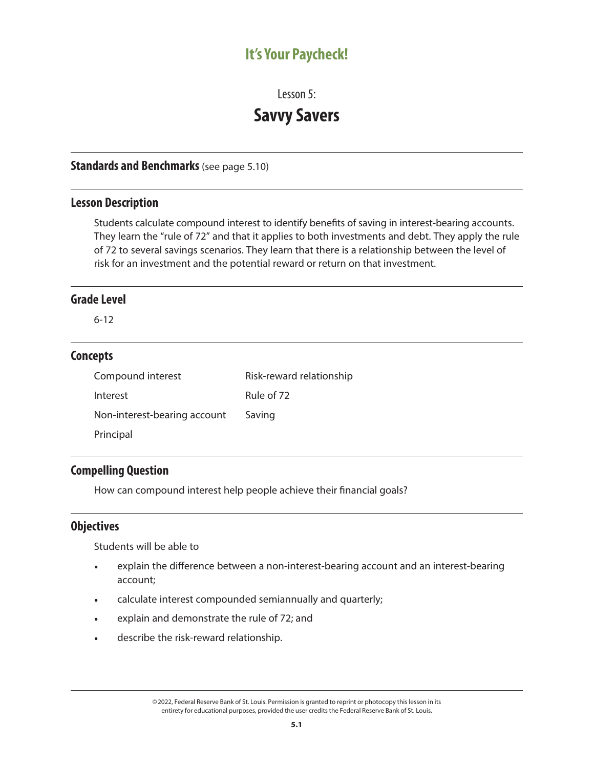# **It's Your Paycheck!**

Lesson 5:

# **Savvy Savers**

#### **Standards and Benchmarks** (see page 5.10)

## **Lesson Description**

Students calculate compound interest to identify benefits of saving in interest-bearing accounts. They learn the "rule of 72" and that it applies to both investments and debt. They apply the rule of 72 to several savings scenarios. They learn that there is a relationship between the level of risk for an investment and the potential reward or return on that investment.

#### **Grade Level**

6-12

#### **Concepts**

| Compound interest            | Risk-reward relationship |
|------------------------------|--------------------------|
| Interest                     | Rule of 72               |
| Non-interest-bearing account | Saving                   |
| Principal                    |                          |

# **Compelling Question**

How can compound interest help people achieve their financial goals?

# **Objectives**

Students will be able to

- explain the difference between a non-interest-bearing account and an interest-bearing account;
- calculate interest compounded semiannually and quarterly;
- explain and demonstrate the rule of 72; and
- describe the risk-reward relationship.

<sup>©2022,</sup> Federal Reserve Bank of St. Louis. Permission is granted to reprint or photocopy this lesson in its entirety for educational purposes, provided the user credits the Federal Reserve Bank of St. Louis.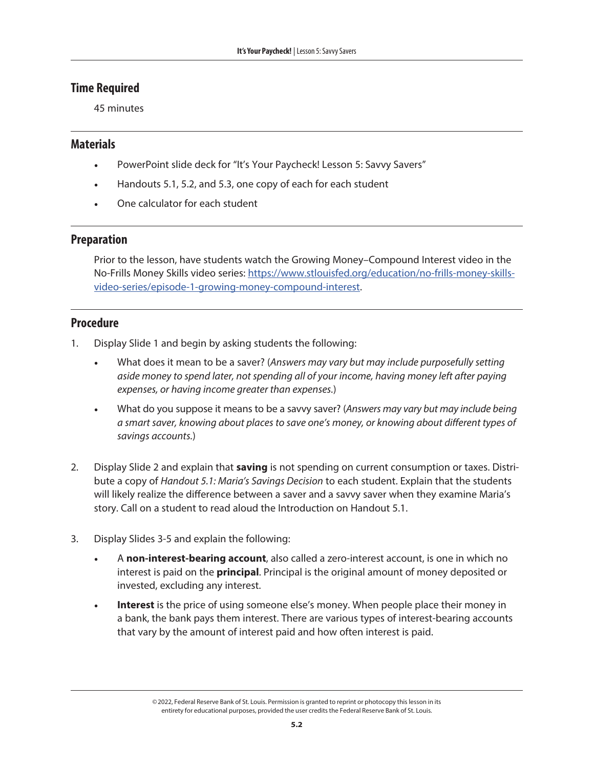### **Time Required**

45 minutes

#### **Materials**

- PowerPoint slide deck for "It's Your Paycheck! Lesson 5: Savvy Savers"
- Handouts 5.1, 5.2, and 5.3, one copy of each for each student
- One calculator for each student

#### **Preparation**

Prior to the lesson, have students watch the Growing Money–Compound Interest video in the No-Frills Money Skills video series: [https://www.stlouisfed.org/education/no-frills-money-skills](https://www.stlouisfed.org/education/no-frills-money-skills-video-series/episode-1-growing-money-compound-interest)[video-series/episode-1-growing-money-compound-interest](https://www.stlouisfed.org/education/no-frills-money-skills-video-series/episode-1-growing-money-compound-interest).

# **Procedure**

- 1. Display Slide 1 and begin by asking students the following:
	- What does it mean to be a saver? (*Answers may vary but may include purposefully setting aside money to spend later, not spending all of your income, having money left after paying expenses, or having income greater than expenses.*)
	- What do you suppose it means to be a savvy saver? (*Answers may vary but may include being a smart saver, knowing about places to save one's money, or knowing about different types of savings accounts.*)
- 2. Display Slide 2 and explain that **saving** is not spending on current consumption or taxes. Distribute a copy of *Handout 5.1: Maria's Savings Decision* to each student. Explain that the students will likely realize the difference between a saver and a savvy saver when they examine Maria's story. Call on a student to read aloud the Introduction on Handout 5.1.
- 3. Display Slides 3-5 and explain the following:
	- A **non-interest-bearing account**, also called a zero-interest account, is one in which no interest is paid on the **principal**. Principal is the original amount of money deposited or invested, excluding any interest.
	- **Interest** is the price of using someone else's money. When people place their money in a bank, the bank pays them interest. There are various types of interest-bearing accounts that vary by the amount of interest paid and how often interest is paid.

<sup>©2022,</sup> Federal Reserve Bank of St. Louis. Permission is granted to reprint or photocopy this lesson in its entirety for educational purposes, provided the user credits the Federal Reserve Bank of St. Louis.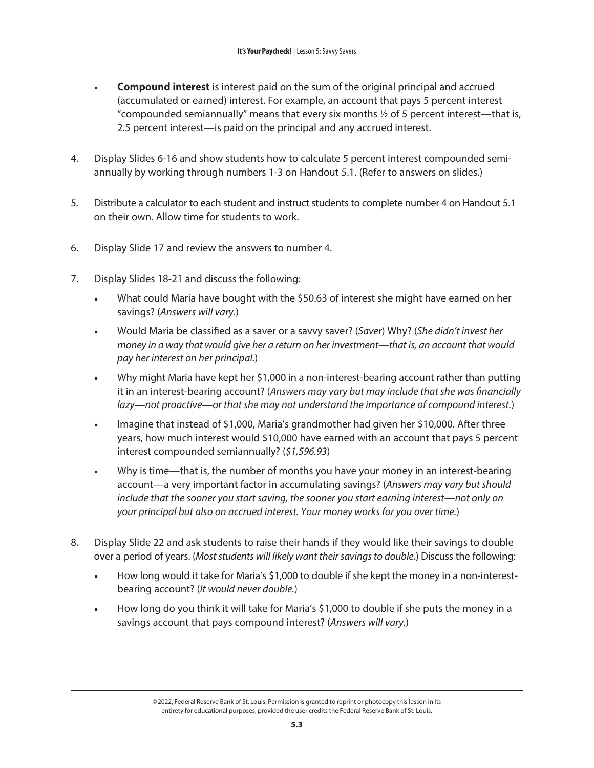- **Compound interest** is interest paid on the sum of the original principal and accrued (accumulated or earned) interest. For example, an account that pays 5 percent interest "compounded semiannually" means that every six months  $\frac{1}{2}$  of 5 percent interest—that is, 2.5 percent interest—is paid on the principal and any accrued interest.
- 4. Display Slides 6-16 and show students how to calculate 5 percent interest compounded semiannually by working through numbers 1-3 on Handout 5.1. (Refer to answers on slides.)
- 5. Distribute a calculator to each student and instruct students to complete number 4 on Handout 5.1 on their own. Allow time for students to work.
- 6. Display Slide 17 and review the answers to number 4.
- 7. Display Slides 18-21 and discuss the following:
	- What could Maria have bought with the \$50.63 of interest she might have earned on her savings? (*Answers will vary.*)
	- Would Maria be classified as a saver or a savvy saver? (*Saver*) Why? (*She didn't invest her money in a way that would give her a return on her investment—that is, an account that would pay her interest on her principal.*)
	- Why might Maria have kept her \$1,000 in a non-interest-bearing account rather than putting it in an interest-bearing account? (*Answers may vary but may include that she was financially lazy—not proactive—or that she may not understand the importance of compound interest.*)
	- Imagine that instead of \$1,000, Maria's grandmother had given her \$10,000. After three years, how much interest would \$10,000 have earned with an account that pays 5 percent interest compounded semiannually? (*\$1,596.93*)
	- Why is time—that is, the number of months you have your money in an interest-bearing account—a very important factor in accumulating savings? (*Answers may vary but should include that the sooner you start saving, the sooner you start earning interest—not only on your principal but also on accrued interest. Your money works for you over time.*)
- 8. Display Slide 22 and ask students to raise their hands if they would like their savings to double over a period of years. (*Most students will likely want their savings to double.*) Discuss the following:
	- How long would it take for Maria's \$1,000 to double if she kept the money in a non-interestbearing account? (*It would never double.*)
	- How long do you think it will take for Maria's \$1,000 to double if she puts the money in a savings account that pays compound interest? (*Answers will vary.*)

<sup>©2022,</sup> Federal Reserve Bank of St. Louis. Permission is granted to reprint or photocopy this lesson in its entirety for educational purposes, provided the user credits the Federal Reserve Bank of St. Louis.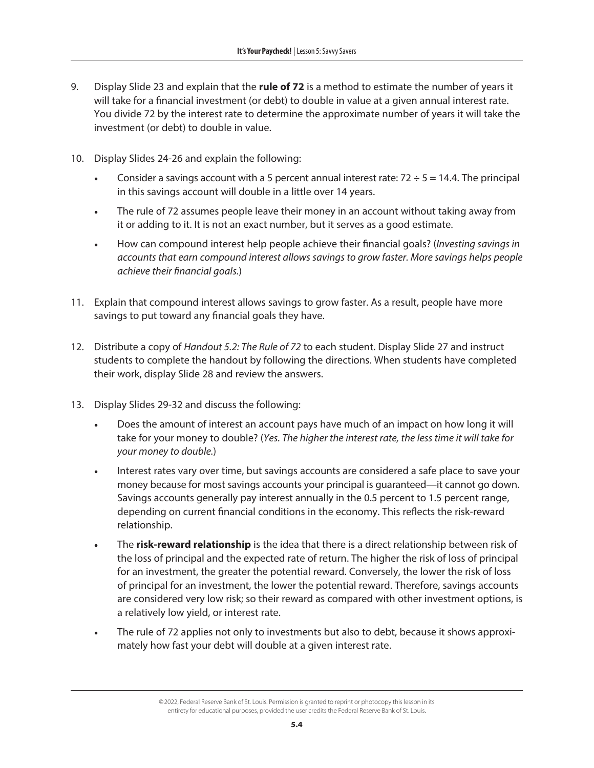- 9. Display Slide 23 and explain that the **rule of 72** is a method to estimate the number of years it will take for a financial investment (or debt) to double in value at a given annual interest rate. You divide 72 by the interest rate to determine the approximate number of years it will take the investment (or debt) to double in value.
- 10. Display Slides 24-26 and explain the following:
	- Consider a savings account with a 5 percent annual interest rate:  $72 \div 5 = 14.4$ . The principal in this savings account will double in a little over 14 years.
	- The rule of 72 assumes people leave their money in an account without taking away from it or adding to it. It is not an exact number, but it serves as a good estimate.
	- How can compound interest help people achieve their financial goals? (*Investing savings in accounts that earn compound interest allows savings to grow faster. More savings helps people achieve their financial goals.*)
- 11. Explain that compound interest allows savings to grow faster. As a result, people have more savings to put toward any financial goals they have.
- 12. Distribute a copy of *Handout 5.2: The Rule of 72* to each student. Display Slide 27 and instruct students to complete the handout by following the directions. When students have completed their work, display Slide 28 and review the answers.
- 13. Display Slides 29-32 and discuss the following:
	- Does the amount of interest an account pays have much of an impact on how long it will take for your money to double? (*Yes. The higher the interest rate, the less time it will take for your money to double.*)
	- Interest rates vary over time, but savings accounts are considered a safe place to save your money because for most savings accounts your principal is guaranteed—it cannot go down. Savings accounts generally pay interest annually in the 0.5 percent to 1.5 percent range, depending on current financial conditions in the economy. This reflects the risk-reward relationship.
	- The **risk-reward relationship** is the idea that there is a direct relationship between risk of the loss of principal and the expected rate of return. The higher the risk of loss of principal for an investment, the greater the potential reward. Conversely, the lower the risk of loss of principal for an investment, the lower the potential reward. Therefore, savings accounts are considered very low risk; so their reward as compared with other investment options, is a relatively low yield, or interest rate.
	- The rule of 72 applies not only to investments but also to debt, because it shows approximately how fast your debt will double at a given interest rate.

<sup>©2022,</sup> Federal Reserve Bank of St. Louis. Permission is granted to reprint or photocopy this lesson in its entirety for educational purposes, provided the user credits the Federal Reserve Bank of St. Louis.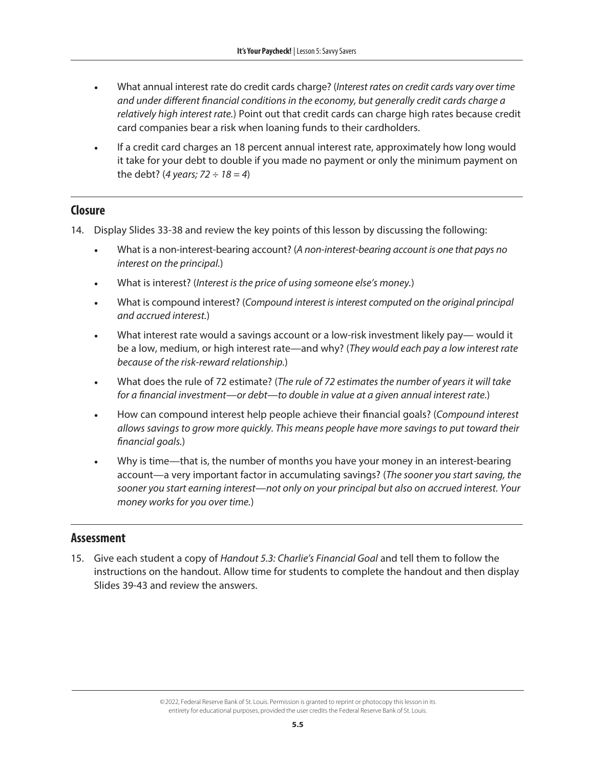- What annual interest rate do credit cards charge? (*Interest rates on credit cards vary over time and under different financial conditions in the economy, but generally credit cards charge a relatively high interest rate.*) Point out that credit cards can charge high rates because credit card companies bear a risk when loaning funds to their cardholders.
- If a credit card charges an 18 percent annual interest rate, approximately how long would it take for your debt to double if you made no payment or only the minimum payment on the debt? (*4 years; 72 ÷ 18 = 4*)

#### **Closure**

- 14. Display Slides 33-38 and review the key points of this lesson by discussing the following:
	- What is a non-interest-bearing account? (*A non-interest-bearing account is one that pays no interest on the principal.*)
	- What is interest? (*Interest is the price of using someone else's money.*)
	- What is compound interest? (*Compound interest is interest computed on the original principal and accrued interest.*)
	- What interest rate would a savings account or a low-risk investment likely pay— would it be a low, medium, or high interest rate—and why? (*They would each pay a low interest rate because of the risk-reward relationship.*)
	- What does the rule of 72 estimate? (*The rule of 72 estimates the number of years it will take for a financial investment—or debt—to double in value at a given annual interest rate.*)
	- How can compound interest help people achieve their financial goals? (*Compound interest allows savings to grow more quickly. This means people have more savings to put toward their financial goals.*)
	- Why is time—that is, the number of months you have your money in an interest-bearing account—a very important factor in accumulating savings? (*The sooner you start saving, the sooner you start earning interest—not only on your principal but also on accrued interest. Your money works for you over time.*)

#### **Assessment**

15. Give each student a copy of *Handout 5.3: Charlie's Financial Goal* and tell them to follow the instructions on the handout. Allow time for students to complete the handout and then display Slides 39-43 and review the answers.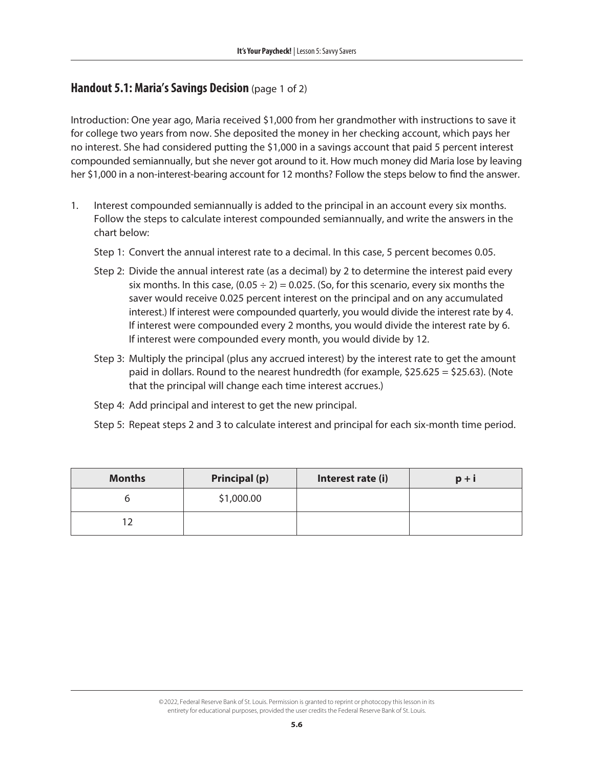#### **Handout 5.1: Maria's Savings Decision** (page 1 of 2)

Introduction: One year ago, Maria received \$1,000 from her grandmother with instructions to save it for college two years from now. She deposited the money in her checking account, which pays her no interest. She had considered putting the \$1,000 in a savings account that paid 5 percent interest compounded semiannually, but she never got around to it. How much money did Maria lose by leaving her \$1,000 in a non-interest-bearing account for 12 months? Follow the steps below to find the answer.

- 1. Interest compounded semiannually is added to the principal in an account every six months. Follow the steps to calculate interest compounded semiannually, and write the answers in the chart below:
	- Step 1: Convert the annual interest rate to a decimal. In this case, 5 percent becomes 0.05.
	- Step 2: Divide the annual interest rate (as a decimal) by 2 to determine the interest paid every six months. In this case,  $(0.05 \div 2) = 0.025$ . (So, for this scenario, every six months the saver would receive 0.025 percent interest on the principal and on any accumulated interest.) If interest were compounded quarterly, you would divide the interest rate by 4. If interest were compounded every 2 months, you would divide the interest rate by 6. If interest were compounded every month, you would divide by 12.
	- Step 3: Multiply the principal (plus any accrued interest) by the interest rate to get the amount paid in dollars. Round to the nearest hundredth (for example,  $$25.625 = $25.63$ ). (Note that the principal will change each time interest accrues.)
	- Step 4: Add principal and interest to get the new principal.
	- Step 5: Repeat steps 2 and 3 to calculate interest and principal for each six-month time period.

| <b>Months</b> | <b>Principal (p)</b> | Interest rate (i) | $p + i$ |
|---------------|----------------------|-------------------|---------|
|               | \$1,000.00           |                   |         |
|               |                      |                   |         |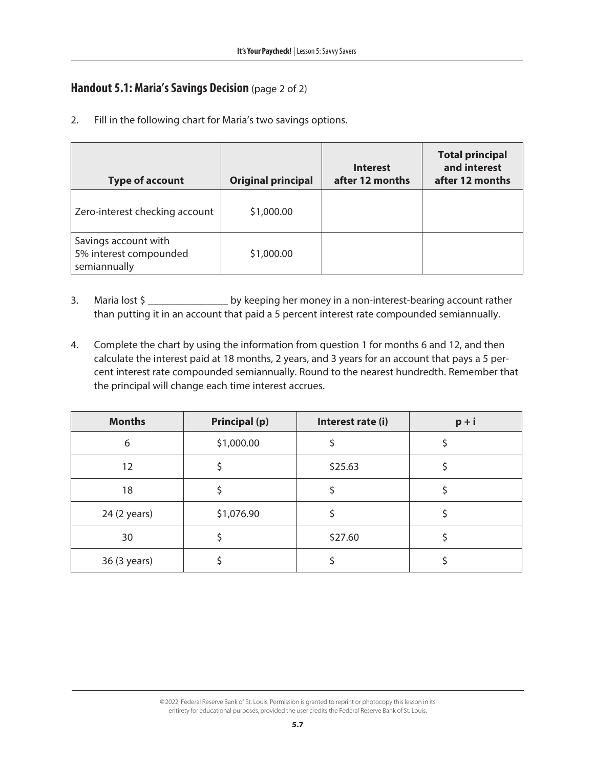# **Handout 5.1: Maria's Savings Decision** (page 2 of 2)

2. Fill in the following chart for Maria's two savings options.

| <b>Type of account</b>                                         | <b>Original principal</b> | <b>Interest</b><br>after 12 months | <b>Total principal</b><br>and interest<br>after 12 months |
|----------------------------------------------------------------|---------------------------|------------------------------------|-----------------------------------------------------------|
| Zero-interest checking account                                 | \$1,000.00                |                                    |                                                           |
| Savings account with<br>5% interest compounded<br>semiannually | \$1,000.00                |                                    |                                                           |

- 3. Maria lost \$ \_\_\_\_\_\_\_\_\_\_\_\_\_\_\_\_\_\_\_ by keeping her money in a non-interest-bearing account rather than putting it in an account that paid a 5 percent interest rate compounded semiannually.
- 4. Complete the chart by using the information from question 1 for months 6 and 12, and then calculate the interest paid at 18 months, 2 years, and 3 years for an account that pays a 5 percent interest rate compounded semiannually. Round to the nearest hundredth. Remember that the principal will change each time interest accrues.

| <b>Months</b> | <b>Principal (p)</b> | Interest rate (i) | $p + i$ |
|---------------|----------------------|-------------------|---------|
| 6             | \$1,000.00           |                   |         |
| 12            |                      | \$25.63           |         |
| 18            |                      |                   |         |
| 24 (2 years)  | \$1,076.90           |                   |         |
| 30            |                      | \$27.60           |         |
| 36 (3 years)  |                      |                   |         |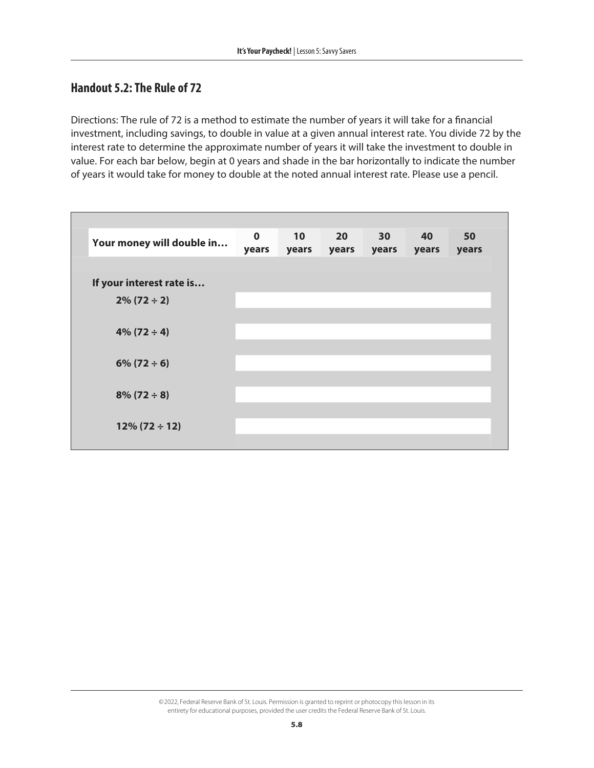# **Handout 5.2: The Rule of 72**

Directions: The rule of 72 is a method to estimate the number of years it will take for a financial investment, including savings, to double in value at a given annual interest rate. You divide 72 by the interest rate to determine the approximate number of years it will take the investment to double in value. For each bar below, begin at 0 years and shade in the bar horizontally to indicate the number of years it would take for money to double at the noted annual interest rate. Please use a pencil.

| Your money will double in | $\mathbf 0$<br>years | 10<br>years | 20 <sub>2</sub><br>years | 30<br>years | 40<br>years | 50<br>years |
|---------------------------|----------------------|-------------|--------------------------|-------------|-------------|-------------|
|                           |                      |             |                          |             |             |             |
| If your interest rate is  |                      |             |                          |             |             |             |
| $2\% (72 \div 2)$         |                      |             |                          |             |             |             |
|                           |                      |             |                          |             |             |             |
| $4\%$ (72 ÷ 4)            |                      |             |                          |             |             |             |
|                           |                      |             |                          |             |             |             |
| $6\% (72 \div 6)$         |                      |             |                          |             |             |             |
|                           |                      |             |                          |             |             |             |
| $8\% (72 \div 8)$         |                      |             |                          |             |             |             |
|                           |                      |             |                          |             |             |             |
| $12\% (72 \div 12)$       |                      |             |                          |             |             |             |
|                           |                      |             |                          |             |             |             |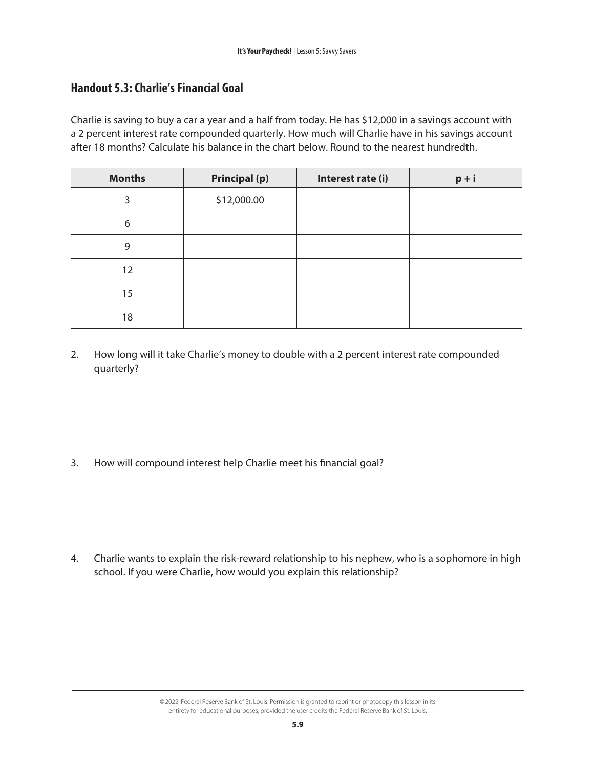# **Handout 5.3: Charlie's Financial Goal**

Charlie is saving to buy a car a year and a half from today. He has \$12,000 in a savings account with a 2 percent interest rate compounded quarterly. How much will Charlie have in his savings account after 18 months? Calculate his balance in the chart below. Round to the nearest hundredth.

| <b>Months</b> | <b>Principal (p)</b> | Interest rate (i) | $p + i$ |
|---------------|----------------------|-------------------|---------|
| 3             | \$12,000.00          |                   |         |
| 6             |                      |                   |         |
| 9             |                      |                   |         |
| 12            |                      |                   |         |
| 15            |                      |                   |         |
| 18            |                      |                   |         |

2. How long will it take Charlie's money to double with a 2 percent interest rate compounded quarterly?

3. How will compound interest help Charlie meet his financial goal?

4. Charlie wants to explain the risk-reward relationship to his nephew, who is a sophomore in high school. If you were Charlie, how would you explain this relationship?